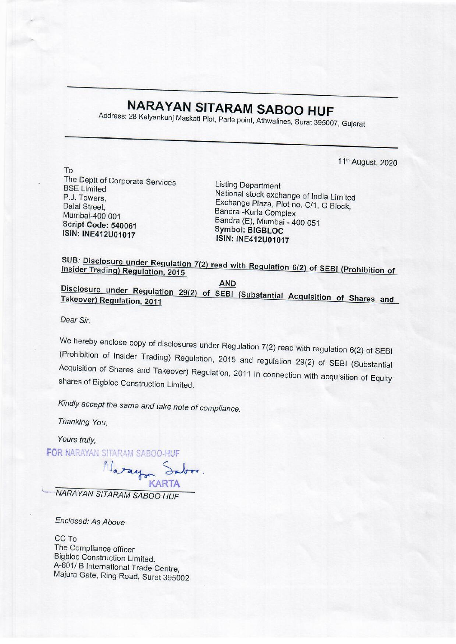## NARAYAN SITARAM SABOO HUF NARAYAN SITAR<br>Address: 28 Kalyankunj Maskati Plot, Parl

Address: 28 Kalyankunj Maskati Plot, Parle point, Athwalines, Surat 395007, Gujarat

11<sup>th</sup> August, 2020

To The Deptt of Corporate Services<br>
BSE Limited<br>
P.J. Towers

National stock exchange of India Limited P.J. Towers, Exchange Plaza, Plot no. C/1, G Block,<br>
Dalal Street, Bandra -Kurla Complex<br>
Mumbai-400 001 Bandra (E), Mumbai - 400 051<br>
Script Code: 540061 Symbol: BIGBLOC<br>
ISIN: INE412U01017 ISIN: INE412U01017

SUB: Disclosure under Regulation 7(2) read with Regulation 6(2) of SEBI (Prohibition of Insider Trading) Regulation, 2015

AND Takeover) **Disclosure** <u>under Regulation 29(2) of SEBI (Substantial Acquisition of Shares and</u><br>Regulation, 2011

Dear Sir,

We hereby enclose copy of disclosures under Regulation 7(2) read with regulation 6(2) of SEBI (Prohibition of Insider Trading) Regulation, 2015 and regulation 29(2) of SEBI (Substantial Acquisition of Shares and Takeover)

Kindly accept the same and take note of compliance.

Thanking You,

Yours truly,

FOR NARAYAN SITARAM SABOO-HUF

latay Sa KARTA

NARAYAN SITARAM SABOO HUF

Enclosed: As Above

CC To The Compliance officer<br>Bigbloc Construction Limited.<br>A-601/ B International Trade Centre, Majura Gate, Ring Road, Surat 395002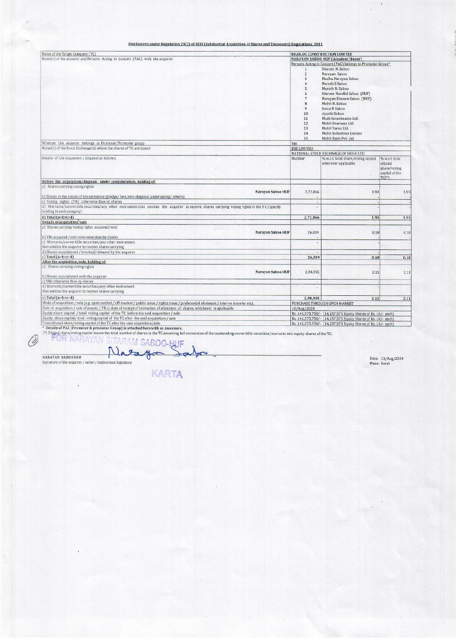## Pisclosures under Regulation 29(2) of SEBI (Substantial Disclosures under Regulation 29(2) ofSEBI (Substantial Acquisition of Shares and Takeovers) Regulations. 2011

|                                                                                                                                                                                                                                                                                                                                                                                                |                                    | $\mathcal{L} = \mathcal{M} \mathcal{L}$                                                               | $\lambda$                                 |
|------------------------------------------------------------------------------------------------------------------------------------------------------------------------------------------------------------------------------------------------------------------------------------------------------------------------------------------------------------------------------------------------|------------------------------------|-------------------------------------------------------------------------------------------------------|-------------------------------------------|
|                                                                                                                                                                                                                                                                                                                                                                                                |                                    | $\sim$ $+$<br>43 O.R                                                                                  |                                           |
|                                                                                                                                                                                                                                                                                                                                                                                                |                                    |                                                                                                       |                                           |
| Disclosures under Regulation 29(2) of SEBI (Substantial Acquisition of Shares and Takeovers) Regulations, 2011<br>Name of the Target Company (TC)<br>Name(s) of the acquirer and Persons Acting in Concert (PAC) with the acquirer                                                                                                                                                             |                                    | <b>BIGBLOC CONSTRUCTION LIMITED</b><br><b>NARAYAN SABOO HUF (Acquirer/Buyer)</b>                      |                                           |
|                                                                                                                                                                                                                                                                                                                                                                                                | $\mathbf{1}$<br>$\overline{z}$     | Persons Acting in Concert (PAC) belongs to Promoter Group*<br>Sitaram N. Saboo<br>Narayan Saboo       |                                           |
|                                                                                                                                                                                                                                                                                                                                                                                                | $\mathbf{3}$<br>$\frac{4}{3}$<br>5 | Madhu Narayan Saboo<br>Naresh S Saboo<br>Manish N. Saboo                                              |                                           |
|                                                                                                                                                                                                                                                                                                                                                                                                | 6<br>7<br>$\mathsf B$              | Sitaram Nandlal Saboo (HUF)<br>Narayan Sitaram Saboo (HUF)<br>Mohit N. Saboo                          |                                           |
|                                                                                                                                                                                                                                                                                                                                                                                                | 9<br>$10$<br>11                    | Sonia N Saboo<br>Ayushi Saboo<br>Mask Investments Ltd.                                                |                                           |
|                                                                                                                                                                                                                                                                                                                                                                                                | 12<br>13<br>14<br>15               | Mohit Overseas Ltd.<br>Mohit Yarns Ltd.<br>Mohit Industries Limited<br>Mohit Exim Pvt. Ltd.           |                                           |
| Whether the acquirer belongs to Promoter/Promoter group<br>Name(s) of the Stock Exchange(s) where the shares of TC are Listed                                                                                                                                                                                                                                                                  | Yes<br><b>BSE LIMITED</b>          | NATIONAL STOCK EXCHNAGE OF INDIA LTD.                                                                 |                                           |
| Details of the acquistion / disposal as follows:                                                                                                                                                                                                                                                                                                                                               | Number                             | % w.r.t. total share/voting capital<br>wherever applicable                                            | % w.r.t. total<br>diluted<br>share/voting |
| Before the acquisition/disposal under consideration, holding of:<br>a) Shares carrying voting rights                                                                                                                                                                                                                                                                                           |                                    |                                                                                                       | capital of the<br>TC(2)                   |
| Narayan Saboo HUF<br>b) Shares in the nature of encumbrance (pledge/lien/non-disposal undertaking/others)<br>c) Voting rights (VR) otherwise than by shares                                                                                                                                                                                                                                    | 2,72,866<br>$\sim$                 | 1.93                                                                                                  | 1.93                                      |
| d) Warrants/convertible securities/any other instrument that entitles the acquirer to receive shares carrying voting rights in the TC (specify<br>holding in each category)<br>$e)$ Total $(a+b+c+d)$                                                                                                                                                                                          | i.<br>2,72,866                     | 1.93                                                                                                  | 1.93                                      |
| <b>Details of acquisition/sale</b><br>a) Shares carrying voting rights acquired/sold<br>Narayan Saboo HUF                                                                                                                                                                                                                                                                                      | 26,039                             | 0.18                                                                                                  | 0.18                                      |
| b) VRs acquired /sold otherwise than by shares<br>c) Warrants/convertible securities/any other instrument<br>that entities the acquirer to receive shares carrying                                                                                                                                                                                                                             | ç                                  |                                                                                                       |                                           |
| d) Shares encumbered / invoked/released by the acquirer<br>$e)$ Total (a+b+c+d)<br>After the acquisition/sale, holding of:                                                                                                                                                                                                                                                                     | 26,039                             | 0.18                                                                                                  | 0.18                                      |
| a) Shares carrying voting rights<br>Narayan Saboo HUF<br>b) Shares encumbered with the acquirer                                                                                                                                                                                                                                                                                                | 2,98,905                           | 2.11                                                                                                  | 2.11                                      |
| c) VRs otherwise than by shares<br>d) Warrants/convertible securities/any other instrument<br>that entities the acquirer to receive shares carrying                                                                                                                                                                                                                                            | ×<br>٠.                            |                                                                                                       |                                           |
| $e)$ Total $(a+b+c+d)$<br>Mode of acquisition / sale (e.g. open market / off-market / public issue / rights issue / preferential allotment / inter-se transfer etc).<br>Date of acquisition / sale of shares / VR or date of receipt of intimation of allotment of shares, whichever is applicable<br>Equity share capital / total voting capital of the TC before the said acquisition / sale | 2,98,905<br>10/Aug/2020            | 2.11<br>PURCHASE THROUGH OPEN MARKET<br>Rs. 141,575,750/- (14,157,575 Equity Shares of Rs. 10/- each) | 2.11                                      |

Focal direct of PAC (Promoter & promoter Group) is attached herewith as Annexure.<br>\* Details of PAC (Promoter & promoter Group) is attached herewith as Annexure.<br>(\*) Diluted share/voting capital means the total number of sh SITARAM SABOO-HUF OR NARAYAN

 $\mathscr{O}$ 

**KARTA** 

NARAYAN SABOO HUF **Date:** 11/Avg/2020<br>Signature of the acquirer/seller/Authorised Signatory Place: Surat<br>Place: Surat

 $\mathcal{L}^{\mathcal{L}}$